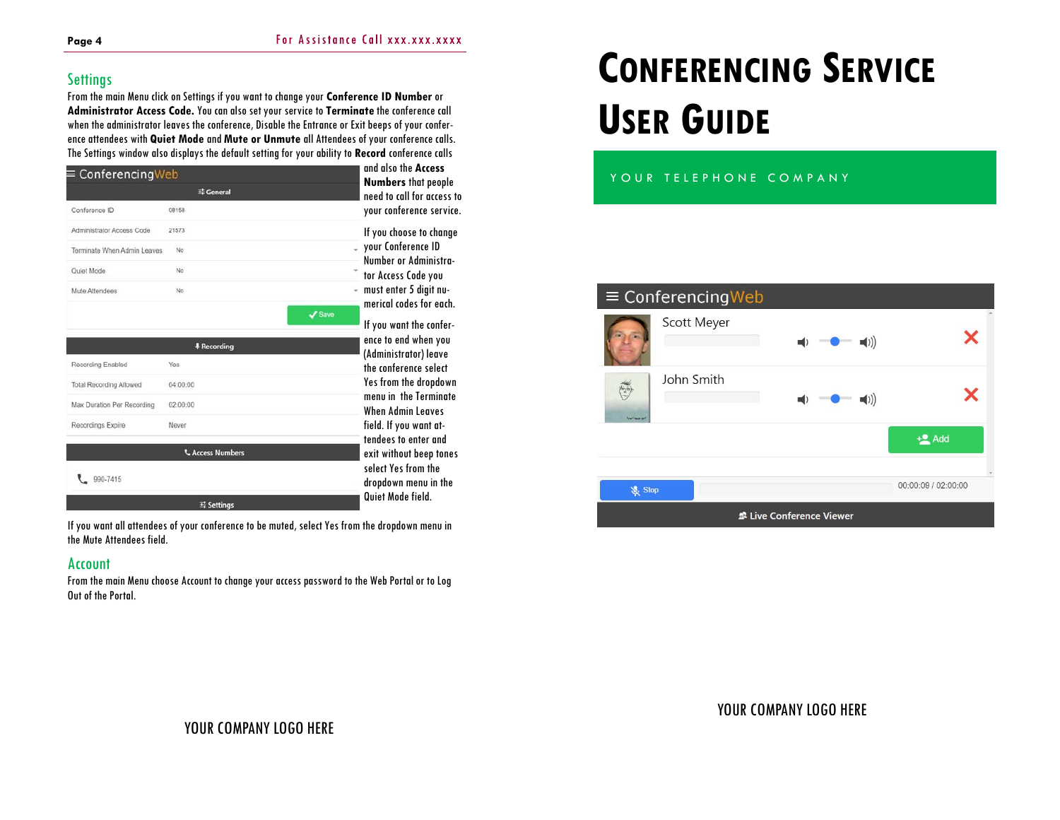## **Settings**

From the main Menu click on Settings if you want to change your **Conference ID Number** or **Administrator Access Code.** You can also set your service to **Terminate** the conference call when the administrator leaves the conference, Disable the Entrance or Exit beeps of your conference attendees with **Quiet Mode** and **Mute or Unmute** all Attendees of your conference calls. The Settings window also displays the default setting for your ability to **Record** conference calls

| ConferencingWeb                |                         | and also the Access                                      |
|--------------------------------|-------------------------|----------------------------------------------------------|
|                                | <b>三 General</b>        | <b>Numbers</b> that people<br>need to call for access to |
| Conference ID                  | 08158                   | your conference service.                                 |
| Administrator Access Code      | 21573                   | If you choose to change                                  |
| Terminate When Admin Leaves    | No                      | your Conference ID<br>Number or Administra-              |
| Quiet Mode                     | No                      | tor Access Code you                                      |
| Mute Attendees                 | No                      | - must enter 5 digit nu-                                 |
|                                |                         | merical codes for each.<br>$\mathcal J$ Save             |
|                                |                         | If you want the confer-<br>ence to end when you          |
|                                | <b># Recording</b>      | (Administrator) leave                                    |
| Recording Enabled              | Yes                     | the conference select                                    |
| <b>Total Recording Allowed</b> | 04:00:00                | Yes from the dropdown<br>menu in the Terminate           |
| Max Duration Per Recording     | 02:00:00                | <b>When Admin Leaves</b>                                 |
| Recordings Expire              | Never                   | field. If you want at-                                   |
|                                | <b>L</b> Access Numbers | tendees to enter and<br>exit without beep tones          |
| 990-7415                       |                         | select Yes from the<br>dropdown menu in the              |
|                                |                         | Quiet Mode field.                                        |

If you want all attendees of your conference to be muted, select Yes from the dropdown menu in the Mute Attendees field.

#### Account

From the main Menu choose Account to change your access password to the Web Portal or to Log Out of the Portal.

# **CONFERENCING SERVICE USER GUIDE**

### YOUR TELEPHONE COMPANY

# $\equiv$  Conferencing Web Scott Meyer  $\boldsymbol{\mathsf{x}}$  $\blacktriangleleft$ ()) John Smith J ×  $\blacksquare()$  $+2$  Add 00:00:09 / 02:00:00 & Stop Live Conference Viewer

YOUR COMPANY LOGO HERE